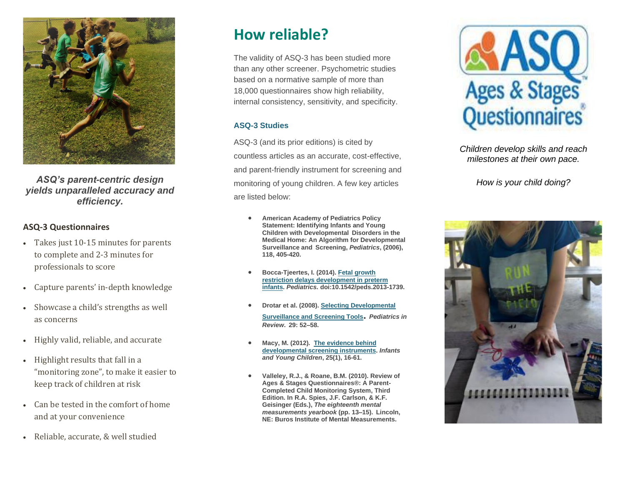

*ASQ's parent-centric design yields unparalleled accuracy and efficiency.*

### **ASQ-3 Questionnaires**

- Takes just 10-15 minutes for parents to complete and 2-3 minutes for professionals to score
- Capture parents' in-depth knowledge
- Showcase a child's strengths as well as concerns
- Highly valid, reliable, and accurate
- Highlight results that fall in a "monitoring zone", to make it easier to keep track of children at risk
- Can be tested in the comfort of home and at your convenience
- Reliable, accurate, & well studied

# **How reliable?**

The validity of ASQ-3 has been studied more than any other screener. Psychometric studies based on a normative sample of more than 18,000 questionnaires show high reliability, internal consistency, sensitivity, and specificity.

#### **ASQ-3 Studies**

ASQ-3 (and its prior editions) is cited by countless articles as an accurate, cost-effective, and parent-friendly instrument for screening and monitoring of young children. A few key articles are listed below:

- **American Academy of Pediatrics Policy Statement: Identifying Infants and Young Children with Developmental Disorders in the Medical Home: An Algorithm for Developmental Surveillance and Screening,** *Pediatrics***, (2006), 118, 405-420.**
- **Bocca-Tjeertes, I. (2014). [Fetal growth](http://www.healio.com/pediatrics/neonatal-medicine/news/online/%7B33f30754-5920-4fa1-add7-af4d60f8a8c5%7D/fetal-growth-restriction-delays-development-in-preterm-infants)  [restriction delays development in preterm](http://www.healio.com/pediatrics/neonatal-medicine/news/online/%7B33f30754-5920-4fa1-add7-af4d60f8a8c5%7D/fetal-growth-restriction-delays-development-in-preterm-infants)  [infants.](http://www.healio.com/pediatrics/neonatal-medicine/news/online/%7B33f30754-5920-4fa1-add7-af4d60f8a8c5%7D/fetal-growth-restriction-delays-development-in-preterm-infants)** *Pediatrics.* **doi:10.1542/peds.2013-1739.**
- **Drotar et al. (2008). [Selecting Developmental](http://pedsinreview.aappublications.org/content/29/10/e52.extract)  [Surveillance and Screening Tools](http://pedsinreview.aappublications.org/content/29/10/e52.extract).** *Pediatrics in Review***. 29: 52–58.**
- **Macy, M. (2012). [The evidence behind](http://journals.lww.com/iycjournal/Fulltext/2012/01000/The_Evidence_Behind_Developmental_Screening.3.aspx)  [developmental screening instruments.](http://journals.lww.com/iycjournal/Fulltext/2012/01000/The_Evidence_Behind_Developmental_Screening.3.aspx)** *Infants and Young Children***, 25(1), 16-61.**
- **Valleley, R.J., & Roane, B.M. (2010). Review of Ages & Stages Questionnaires®: A Parent-Completed Child Monitoring System, Third Edition. In R.A. Spies, J.F. Carlson, & K.F. Geisinger (Eds.),** *The eighteenth mental measurements yearbook* **(pp. 13–15). Lincoln, NE: Buros Institute of Mental Measurements.**



*Children develop skills and reach milestones at their own pace.* 

*How is your child doing?*